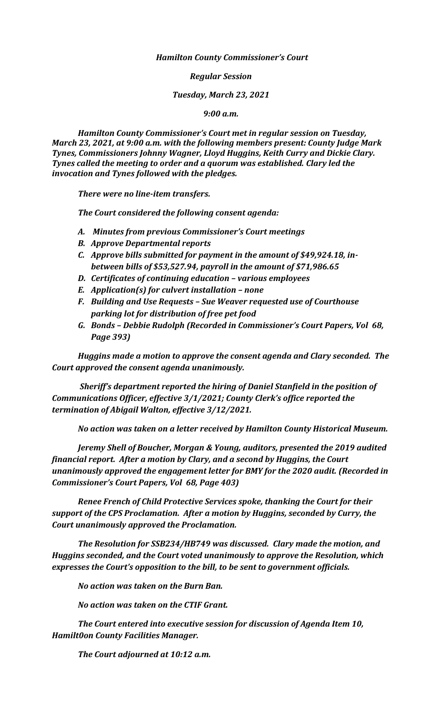*Hamilton County Commissioner's Court*

*Regular Session*

*Tuesday, March 23, 2021*

*9:00 a.m.*

*Hamilton County Commissioner's Court met in regular session on Tuesday, March 23, 2021, at 9:00 a.m. with the following members present: County Judge Mark Tynes, Commissioners Johnny Wagner, Lloyd Huggins, Keith Curry and Dickie Clary. Tynes called the meeting to order and a quorum was established. Clary led the invocation and Tynes followed with the pledges.*

*There were no line-item transfers.*

*The Court considered the following consent agenda:*

- *A. Minutes from previous Commissioner's Court meetings*
- *B. Approve Departmental reports*
- *C. Approve bills submitted for payment in the amount of \$49,924.18, inbetween bills of \$53,527.94, payroll in the amount of \$71,986.65*
- *D. Certificates of continuing education – various employees*
- *E. Application(s) for culvert installation – none*
- *F. Building and Use Requests – Sue Weaver requested use of Courthouse parking lot for distribution of free pet food*
- *G. Bonds – Debbie Rudolph (Recorded in Commissioner's Court Papers, Vol 68, Page 393)*

*Huggins made a motion to approve the consent agenda and Clary seconded. The Court approved the consent agenda unanimously.* 

*Sheriff's department reported the hiring of Daniel Stanfield in the position of Communications Officer, effective 3/1/2021; County Clerk's office reported the termination of Abigail Walton, effective 3/12/2021.*

*No action was taken on a letter received by Hamilton County Historical Museum.*

*Jeremy Shell of Boucher, Morgan & Young, auditors, presented the 2019 audited financial report. After a motion by Clary, and a second by Huggins, the Court unanimously approved the engagement letter for BMY for the 2020 audit. (Recorded in Commissioner's Court Papers, Vol 68, Page 403)*

*Renee French of Child Protective Services spoke, thanking the Court for their support of the CPS Proclamation. After a motion by Huggins, seconded by Curry, the Court unanimously approved the Proclamation.*

*The Resolution for SSB234/HB749 was discussed. Clary made the motion, and Huggins seconded, and the Court voted unanimously to approve the Resolution, which expresses the Court's opposition to the bill, to be sent to government officials.*

*No action was taken on the Burn Ban.*

*No action was taken on the CTIF Grant.*

*The Court entered into executive session for discussion of Agenda Item 10, Hamilt0on County Facilities Manager.*

*The Court adjourned at 10:12 a.m.*